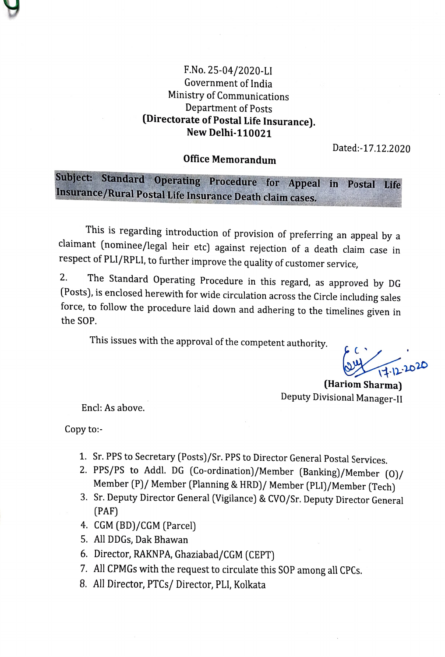## F.No. 25-04/2020-LI Government of India Ministry of Communications Department of Posts (Directorate of Postal Life Insurance). New Delhi-110021

Dated:-17.12.2020

#### Office Memorandum

# Subject: Standard Operating Procedure for Appeal in Postal Life Insurance/Rural Postal Life Insurance Death claim cases.

This is regarding introduction of provision of preferring an appeal by a claimant (nominee/legal heir etc) against rejection of a death claim case in respect of PLI/RPLI, to further improve the quality of customer service,

2. The Standard Operating Procedure in this regard, as approved by DG (Posts), is enclosed herewith for wide circulation across the Circle including sales force, to follow the procedure laid down and adhering to the timelines given in the SOP.

This issues with the approval of the competent authority.

 $11.12.2020$ 

(Hariom Sharma) Deputy Divisional Manager-II

Encl: As above.

Copy to:-

- 1. Sr. PPS to Secretary (Posts)/Sr. PPS to Director General Postal Services.
- 2. PPS/PS to Addl. DG (Co-ordination)/Member (Banking)/Member (0)/<br>Member (P)/ Member (Planning & HRD)/ Member (PLI)/Member (Tech)<br>3. Sr. Deputy Director General (Vigilance) & CVO/Sr. Deputy Director General
- (PAF)
- 4. CGM (BD)/CGM (Parcel)
- 5. All DDGs, Dak Bhawan
- 6. Director, RAKNPA, Ghaziabad/CGM (CEPT)
- All CPMGs with the request to circulate this SOP among all CPCs.
- 8. All Director, PTCs/ Director, PLI, Kolkata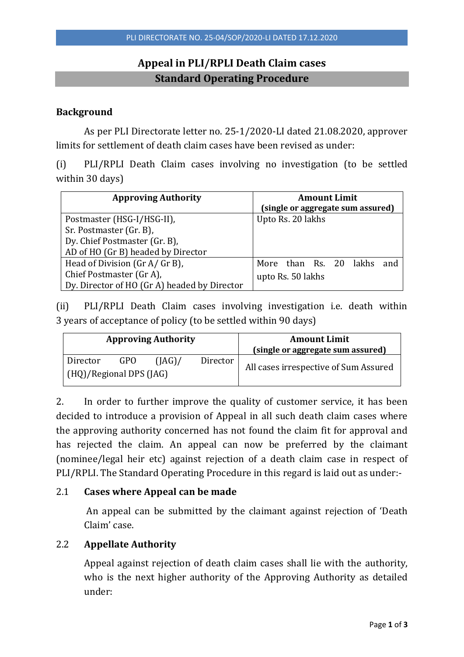### **Appeal in PLI/RPLI Death Claim cases Standard Operating Procedure**

#### **Background**

As per PLI Directorate letter no. 25-1/2020-LI dated 21.08.2020, approver limits for settlement of death claim cases have been revised as under:

(i) PLI/RPLI Death Claim cases involving no investigation (to be settled within 30 days)

| <b>Approving Authority</b>                   | <b>Amount Limit</b>               |  |  |  |  |  |  |
|----------------------------------------------|-----------------------------------|--|--|--|--|--|--|
|                                              | (single or aggregate sum assured) |  |  |  |  |  |  |
| Postmaster (HSG-I/HSG-II),                   | Upto Rs. 20 lakhs                 |  |  |  |  |  |  |
| Sr. Postmaster (Gr. B),                      |                                   |  |  |  |  |  |  |
| Dy. Chief Postmaster (Gr. B),                |                                   |  |  |  |  |  |  |
| AD of HO (Gr B) headed by Director           |                                   |  |  |  |  |  |  |
| Head of Division (Gr A/ Gr B),               | More than Rs. 20 lakhs<br>and     |  |  |  |  |  |  |
| Chief Postmaster (Gr A),                     | upto Rs. 50 lakhs                 |  |  |  |  |  |  |
| Dy. Director of HO (Gr A) headed by Director |                                   |  |  |  |  |  |  |

(ii) PLI/RPLI Death Claim cases involving investigation i.e. death within 3 years of acceptance of policy (to be settled within 90 days)

|                         |     | <b>Approving Authority</b> |          | <b>Amount Limit</b><br>(single or aggregate sum assured) |  |  |  |
|-------------------------|-----|----------------------------|----------|----------------------------------------------------------|--|--|--|
| Director                | GPO | (IAG)                      | Director |                                                          |  |  |  |
| (HQ)/Regional DPS (JAG) |     |                            |          | All cases irrespective of Sum Assured                    |  |  |  |

2. In order to further improve the quality of customer service, it has been decided to introduce a provision of Appeal in all such death claim cases where the approving authority concerned has not found the claim fit for approval and has rejected the claim. An appeal can now be preferred by the claimant (nominee/legal heir etc) against rejection of a death claim case in respect of PLI/RPLI. The Standard Operating Procedure in this regard is laid out as under:-

#### 2.1 **Cases where Appeal can be made**

An appeal can be submitted by the claimant against rejection of 'Death Claim' case.

#### 2.2 **Appellate Authority**

Appeal against rejection of death claim cases shall lie with the authority, who is the next higher authority of the Approving Authority as detailed under: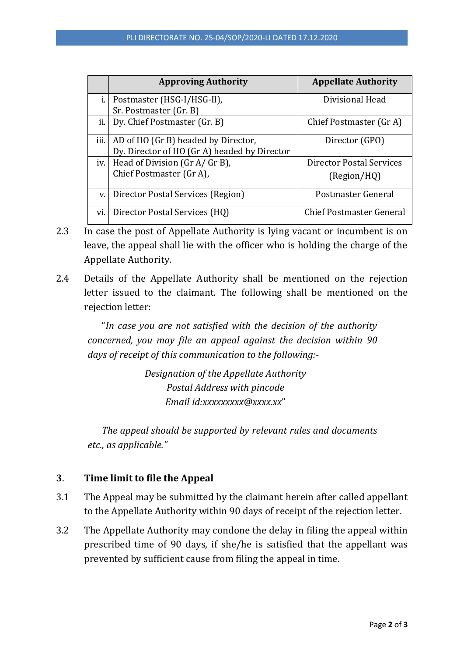|           | <b>Approving Authority</b>                   | <b>Appellate Authority</b>      |
|-----------|----------------------------------------------|---------------------------------|
| i.        | Postmaster (HSG-I/HSG-II),                   | Divisional Head                 |
|           | Sr. Postmaster (Gr. B)                       |                                 |
| ii.       | Dy. Chief Postmaster (Gr. B)                 | Chief Postmaster (Gr A)         |
| .<br>111. | AD of HO (Gr B) headed by Director,          | Director (GPO)                  |
|           | Dy. Director of HO (Gr A) headed by Director |                                 |
|           | iv.   Head of Division (Gr A/ Gr B),         | <b>Director Postal Services</b> |
|           | Chief Postmaster (Gr A),                     | (Region/HQ)                     |
| V.        | Director Postal Services (Region)            | Postmaster General              |
| vi.       | Director Postal Services (HQ)                | <b>Chief Postmaster General</b> |

- 2.3 In case the post of Appellate Authority is lying vacant or incumbent is on leave, the appeal shall lie with the officer who is holding the charge of the Appellate Authority.
- 2.4 Details of the Appellate Authority shall be mentioned on the rejection letter issued to the claimant. The following shall be mentioned on the rejection letter:

"*In case you are not satisfied with the decision of the authority concerned, you may file an appeal against the decision within 90 days of receipt of this communication to the following:-*

> *Designation of the Appellate Authority Postal Address with pincode Email id:xxxxxxxxx@xxxx.xx*"

*The appeal should be supported by relevant rules and documents etc., as applicable."*

#### **3**. **Time limit to file the Appeal**

- 3.1 The Appeal may be submitted by the claimant herein after called appellant to the Appellate Authority within 90 days of receipt of the rejection letter.
- 3.2 The Appellate Authority may condone the delay in filing the appeal within prescribed time of 90 days, if she/he is satisfied that the appellant was prevented by sufficient cause from filing the appeal in time.